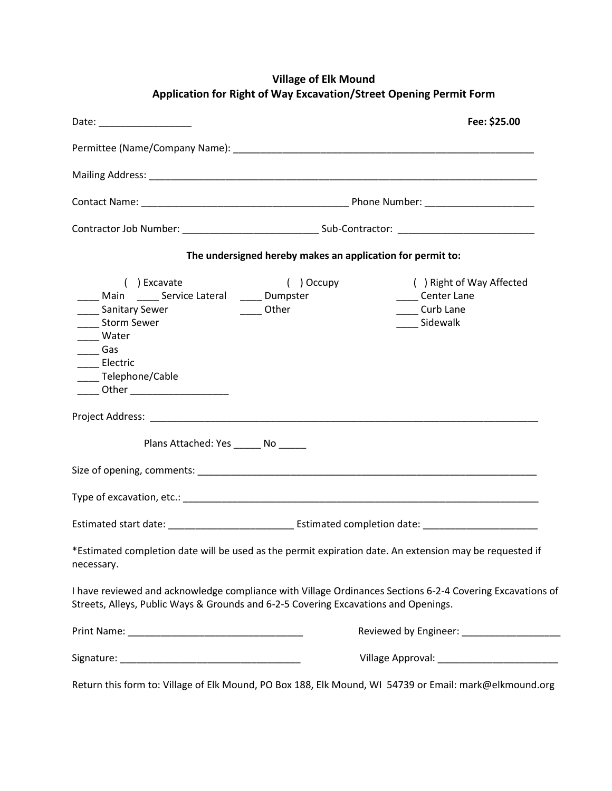## **Village of Elk Mound Application for Right of Way Excavation/Street Opening Permit Form**

| Date: ________________________                                                                                                                                                                                     | Fee: \$25.00                                               |                                                                                                           |
|--------------------------------------------------------------------------------------------------------------------------------------------------------------------------------------------------------------------|------------------------------------------------------------|-----------------------------------------------------------------------------------------------------------|
|                                                                                                                                                                                                                    |                                                            |                                                                                                           |
|                                                                                                                                                                                                                    |                                                            |                                                                                                           |
|                                                                                                                                                                                                                    |                                                            |                                                                                                           |
|                                                                                                                                                                                                                    |                                                            |                                                                                                           |
|                                                                                                                                                                                                                    | The undersigned hereby makes an application for permit to: |                                                                                                           |
| ( ) Excavate<br>Main ______ Service Lateral ______ Dumpster<br>___ Sanitary Sewer<br>Storm Sewer<br>____ Water<br>$\frac{1}{2}$ Gas<br>____ Electric<br>____ Telephone/Cable<br>_____ Other ______________________ | ) Occupy<br>$\sqrt{2}$<br>_____ Other                      | () Right of Way Affected<br><b>Center Lane</b><br>Curb Lane<br>Sidewalk                                   |
|                                                                                                                                                                                                                    |                                                            |                                                                                                           |
| Plans Attached: Yes _______ No                                                                                                                                                                                     |                                                            |                                                                                                           |
|                                                                                                                                                                                                                    |                                                            |                                                                                                           |
|                                                                                                                                                                                                                    |                                                            |                                                                                                           |
|                                                                                                                                                                                                                    |                                                            |                                                                                                           |
| *Estimated completion date will be used as the permit expiration date. An extension may be requested if<br>necessary.                                                                                              |                                                            |                                                                                                           |
| Streets, Alleys, Public Ways & Grounds and 6-2-5 Covering Excavations and Openings.                                                                                                                                |                                                            | I have reviewed and acknowledge compliance with Village Ordinances Sections 6-2-4 Covering Excavations of |
|                                                                                                                                                                                                                    |                                                            |                                                                                                           |
|                                                                                                                                                                                                                    |                                                            |                                                                                                           |
| $\epsilon$ and $\epsilon$ and $\epsilon$ and $\epsilon$                                                                                                                                                            |                                                            |                                                                                                           |

Return this form to: Village of Elk Mound, PO Box 188, Elk Mound, WI 54739 or Email: [mark@elkmound.org](mailto:mark@elkmound.org)